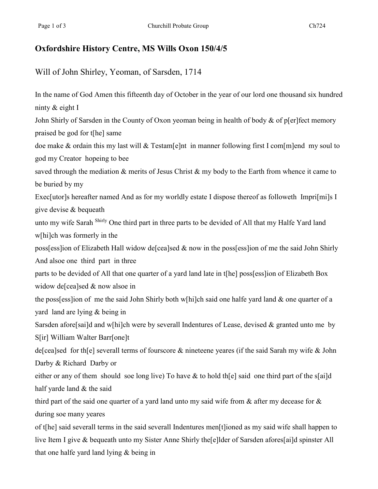## **Oxfordshire History Centre, MS Wills Oxon 150/4/5**

Will of John Shirley, Yeoman, of Sarsden, 1714

In the name of God Amen this fifteenth day of October in the year of our lord one thousand six hundred ninty & eight I John Shirly of Sarsden in the County of Oxon yeoman being in health of body & of p[er]fect memory praised be god for t[he] same doe make & ordain this my last will & Testam[e]nt in manner following first I com[m]end my soul to god my Creator hopeing to bee saved through the mediation & merits of Jesus Christ & my body to the Earth from whence it came to be buried by my Exec[utor]s hereafter named And as for my worldly estate I dispose thereof as followeth Impri[mi]s I give devise & bequeath unto my wife Sarah Shirly One third part in three parts to be devided of All that my Halfe Yard land w[hi]ch was formerly in the poss[ess]ion of Elizabeth Hall widow de[cea]sed & now in the poss[ess]ion of me the said John Shirly And alsoe one third part in three parts to be devided of All that one quarter of a yard land late in t[he] poss[ess]ion of Elizabeth Box widow de[cea]sed & now alsoe in the poss[ess]ion of me the said John Shirly both w[hi]ch said one halfe yard land & one quarter of a yard land are lying & being in Sarsden afore[sai]d and w[hi]ch were by severall Indentures of Lease, devised & granted unto me by S[ir] William Walter Barr[one]t de[cea]sed for th[e] severall terms of fourscore & nineteene yeares (if the said Sarah my wife & John Darby & Richard Darby or either or any of them should soe long live) To have & to hold the staid one third part of the set ailed half yarde land & the said third part of the said one quarter of a yard land unto my said wife from & after my decease for & during soe many yeares of t[he] said severall terms in the said severall Indentures men[t]ioned as my said wife shall happen to live Item I give & bequeath unto my Sister Anne Shirly the[e]lder of Sarsden afores[ai]d spinster All

that one halfe yard land lying & being in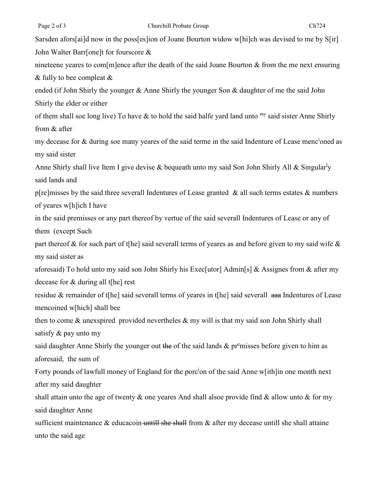Sarsden afors[ai]d now in the poss[es]ion of Joane Bourton widow w[hi]ch was devised to me by S[ir] John Walter Barr[one]t for fourscore & nineteene yeares to com[m]ence after the death of the said Joane Bourton & from the me next ensuring & fully to bee compleat & ended (if John Shirly the younger & Anne Shirly the younger Son & daughter of me the said John Shirly the elder or either of them shall soe long live) To have  $\&$  to hold the said halfe yard land unto  $m y$  said sister Anne Shirly from & after my decease for & during soe many yeares of the said terme in the said Indenture of Lease menc<sup>i</sup>oned as my said sister Anne Shirly shall live Item I give devise & bequeath unto my said Son John Shirly All & Singular<sup>l</sup>y said lands and p[re]misses by the said three severall Indentures of Lease granted  $\&$  all such terms estates  $&$  numbers of yeares w[h]ich I have in the said premisses or any part thereof by vertue of the said severall Indentures of Lease or any of them (except Such part thereof & for such part of t[he] said severall terms of yeares as and before given to my said wife & my said sister as aforesaid) To hold unto my said son John Shirly his Exec[utor] Admin[s] & Assignes from & after my decease for & during all t[he] rest residue & remainder of t[he] said severall terms of yeares in t[he] said severall aaa Indentures of Lease mencoined w[hich] shall bee then to come  $\&$  unexspired provided nevertheles  $\&$  my will is that my said son John Shirly shall satisfy & pay unto my said daughter Anne Shirly the younger out the of the said lands & premisses before given to him as aforesaid, the sum of Forty pounds of lawfull money of England for the porc<sup>i</sup>on of the said Anne w[ith]in one month next after my said daughter shall attain unto the age of twenty  $\&$  one yeares And shall alsoe provide find  $\&$  allow unto  $\&$  for my said daughter Anne sufficient maintenance  $\&$  educacoin untill she shall from  $\&$  after my decease untill she shall attaine unto the said age